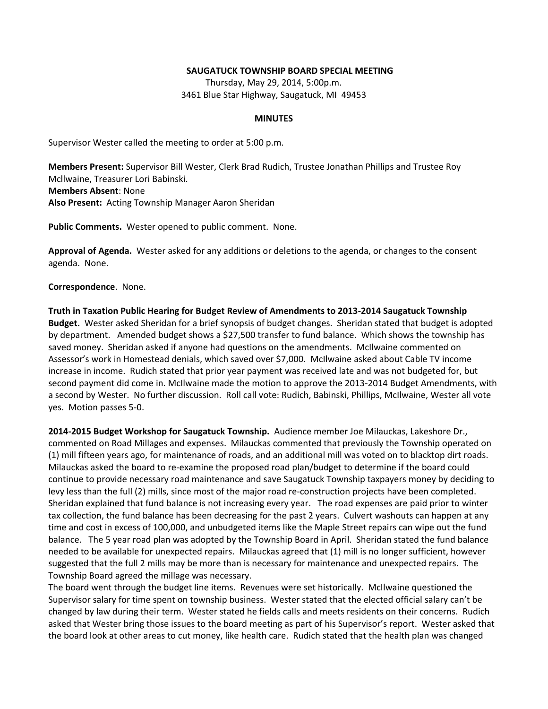## **SAUGATUCK TOWNSHIP BOARD SPECIAL MEETING**

Thursday, May 29, 2014, 5:00p.m. 3461 Blue Star Highway, Saugatuck, MI 49453

## **MINUTES**

Supervisor Wester called the meeting to order at 5:00 p.m.

**Members Present:** Supervisor Bill Wester, Clerk Brad Rudich, Trustee Jonathan Phillips and Trustee Roy Mcllwaine, Treasurer Lori Babinski. **Members Absent**: None **Also Present:** Acting Township Manager Aaron Sheridan

**Public Comments.** Wester opened to public comment. None.

**Approval of Agenda.** Wester asked for any additions or deletions to the agenda, or changes to the consent agenda. None.

**Correspondence**. None.

**Truth in Taxation Public Hearing for Budget Review of Amendments to 2013-2014 Saugatuck Township Budget.** Wester asked Sheridan for a brief synopsis of budget changes. Sheridan stated that budget is adopted by department. Amended budget shows a \$27,500 transfer to fund balance. Which shows the township has saved money. Sheridan asked if anyone had questions on the amendments. McIlwaine commented on Assessor's work in Homestead denials, which saved over \$7,000. McIlwaine asked about Cable TV income increase in income. Rudich stated that prior year payment was received late and was not budgeted for, but second payment did come in. McIlwaine made the motion to approve the 2013-2014 Budget Amendments, with a second by Wester. No further discussion. Roll call vote: Rudich, Babinski, Phillips, McIlwaine, Wester all vote yes. Motion passes 5-0.

**2014-2015 Budget Workshop for Saugatuck Township.** Audience member Joe Milauckas, Lakeshore Dr., commented on Road Millages and expenses. Milauckas commented that previously the Township operated on (1) mill fifteen years ago, for maintenance of roads, and an additional mill was voted on to blacktop dirt roads. Milauckas asked the board to re-examine the proposed road plan/budget to determine if the board could continue to provide necessary road maintenance and save Saugatuck Township taxpayers money by deciding to levy less than the full (2) mills, since most of the major road re-construction projects have been completed. Sheridan explained that fund balance is not increasing every year. The road expenses are paid prior to winter tax collection, the fund balance has been decreasing for the past 2 years. Culvert washouts can happen at any time and cost in excess of 100,000, and unbudgeted items like the Maple Street repairs can wipe out the fund balance. The 5 year road plan was adopted by the Township Board in April. Sheridan stated the fund balance needed to be available for unexpected repairs. Milauckas agreed that (1) mill is no longer sufficient, however suggested that the full 2 mills may be more than is necessary for maintenance and unexpected repairs. The Township Board agreed the millage was necessary.

The board went through the budget line items. Revenues were set historically. McIlwaine questioned the Supervisor salary for time spent on township business. Wester stated that the elected official salary can't be changed by law during their term. Wester stated he fields calls and meets residents on their concerns. Rudich asked that Wester bring those issues to the board meeting as part of his Supervisor's report. Wester asked that the board look at other areas to cut money, like health care. Rudich stated that the health plan was changed